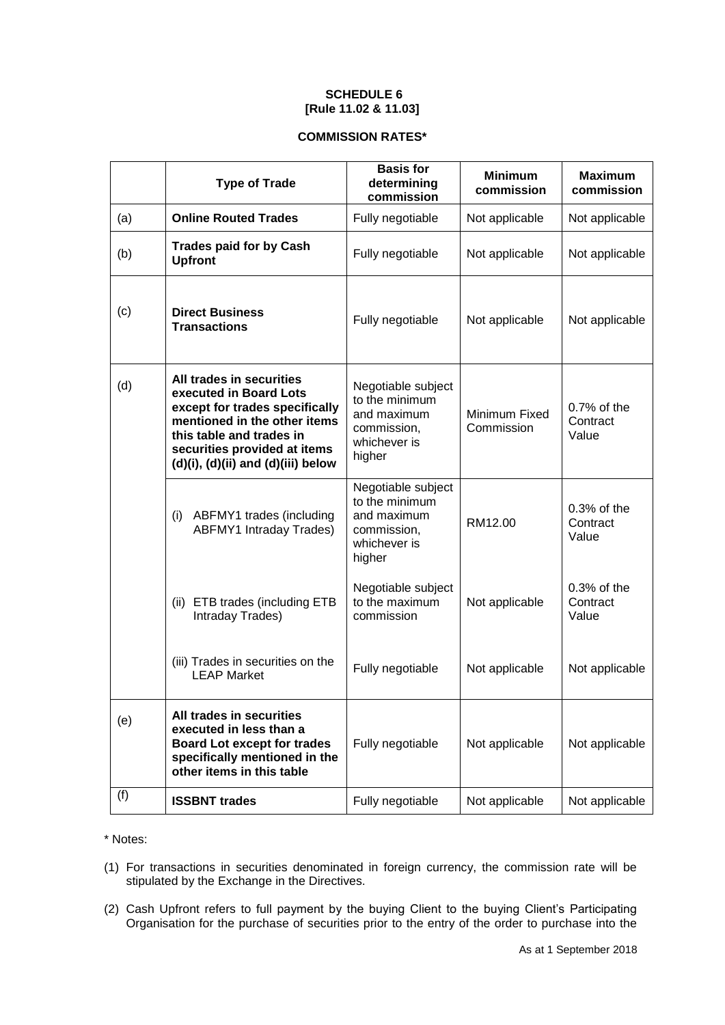## **SCHEDULE 6 [Rule 11.02 & 11.03]**

## **COMMISSION RATES\***

|     | <b>Type of Trade</b>                                                                                                                                                                                                          | <b>Basis for</b><br>determining<br>commission                                                | <b>Minimum</b><br>commission | <b>Maximum</b><br>commission        |
|-----|-------------------------------------------------------------------------------------------------------------------------------------------------------------------------------------------------------------------------------|----------------------------------------------------------------------------------------------|------------------------------|-------------------------------------|
| (a) | <b>Online Routed Trades</b>                                                                                                                                                                                                   | Fully negotiable                                                                             | Not applicable               | Not applicable                      |
| (b) | <b>Trades paid for by Cash</b><br><b>Upfront</b>                                                                                                                                                                              | Fully negotiable                                                                             | Not applicable               | Not applicable                      |
| (c) | <b>Direct Business</b><br><b>Transactions</b>                                                                                                                                                                                 | Fully negotiable                                                                             | Not applicable               | Not applicable                      |
| (d) | All trades in securities<br>executed in Board Lots<br>except for trades specifically<br>mentioned in the other items<br>this table and trades in<br>securities provided at items<br>$(d)(i)$ , $(d)(ii)$ and $(d)(iii)$ below | Negotiable subject<br>to the minimum<br>and maximum<br>commission,<br>whichever is<br>higher | Minimum Fixed<br>Commission  | $0.7\%$ of the<br>Contract<br>Value |
|     | (i) ABFMY1 trades (including<br><b>ABFMY1 Intraday Trades)</b>                                                                                                                                                                | Negotiable subject<br>to the minimum<br>and maximum<br>commission,<br>whichever is<br>higher | RM12.00                      | $0.3%$ of the<br>Contract<br>Value  |
|     | (ii) ETB trades (including ETB<br>Intraday Trades)                                                                                                                                                                            | Negotiable subject<br>to the maximum<br>commission                                           | Not applicable               | $0.3%$ of the<br>Contract<br>Value  |
|     | (iii) Trades in securities on the<br><b>LEAP Market</b>                                                                                                                                                                       | Fully negotiable                                                                             | Not applicable               | Not applicable                      |
| (e) | All trades in securities<br>executed in less than a<br><b>Board Lot except for trades</b><br>specifically mentioned in the<br>other items in this table                                                                       | Fully negotiable                                                                             | Not applicable               | Not applicable                      |
| (f) | <b>ISSBNT</b> trades                                                                                                                                                                                                          | Fully negotiable                                                                             | Not applicable               | Not applicable                      |

\* Notes:

- (1) For transactions in securities denominated in foreign currency, the commission rate will be stipulated by the Exchange in the Directives.
- (2) Cash Upfront refers to full payment by the buying Client to the buying Client's Participating Organisation for the purchase of securities prior to the entry of the order to purchase into the